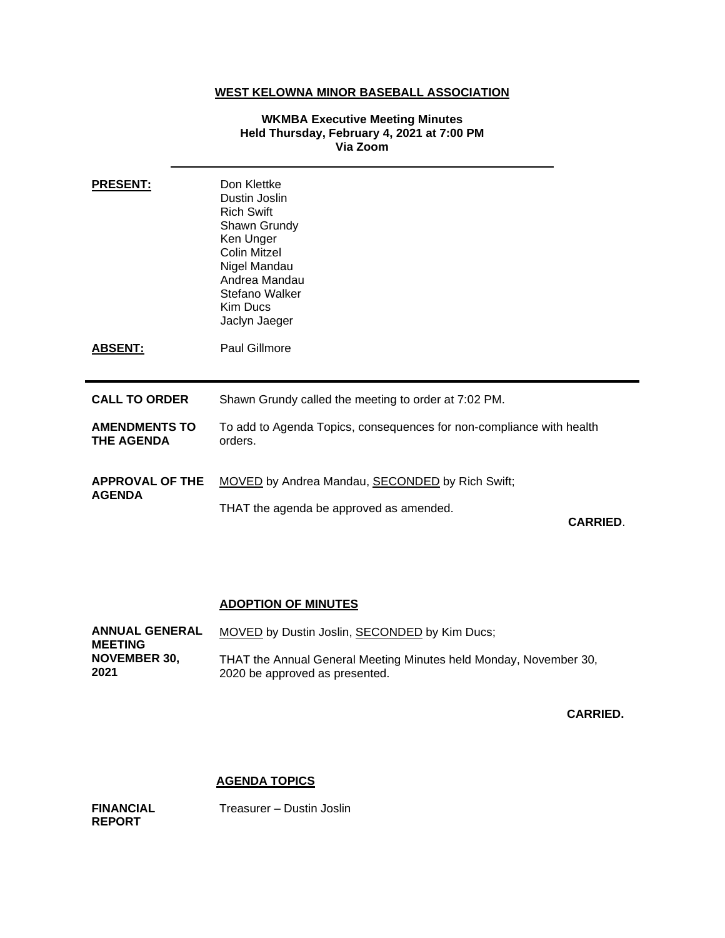# **WEST KELOWNA MINOR BASEBALL ASSOCIATION**

## **WKMBA Executive Meeting Minutes Held Thursday, February 4, 2021 at 7:00 PM Via Zoom**

| <b>PRESENT:</b>                           | Don Klettke<br>Dustin Joslin<br><b>Rich Swift</b><br>Shawn Grundy<br>Ken Unger<br><b>Colin Mitzel</b><br>Nigel Mandau<br>Andrea Mandau<br>Stefano Walker<br>Kim Ducs<br>Jaclyn Jaeger |
|-------------------------------------------|---------------------------------------------------------------------------------------------------------------------------------------------------------------------------------------|
| <b>ABSENT:</b>                            | Paul Gillmore                                                                                                                                                                         |
| <b>CALL TO ORDER</b>                      | Shawn Grundy called the meeting to order at 7:02 PM.                                                                                                                                  |
| <b>AMENDMENTS TO</b><br><b>THE AGENDA</b> | To add to Agenda Topics, consequences for non-compliance with health<br>orders.                                                                                                       |
| <b>APPROVAL OF THE</b><br><b>AGENDA</b>   | MOVED by Andrea Mandau, SECONDED by Rich Swift;<br>THAT the agenda be approved as amended.                                                                                            |
|                                           | <b>CARRIED.</b>                                                                                                                                                                       |

# **ADOPTION OF MINUTES**

| <b>ANNUAL GENERAL</b> | MOVED by Dustin Joslin, SECONDED by Kim Ducs;                     |
|-----------------------|-------------------------------------------------------------------|
| <b>MEETING</b>        |                                                                   |
| <b>NOVEMBER 30.</b>   | THAT the Annual General Meeting Minutes held Monday, November 30, |
| 2021                  | 2020 be approved as presented.                                    |

**CARRIED.**

# **AGENDA TOPICS**

**FINANCIAL REPORT** 

Treasurer – Dustin Joslin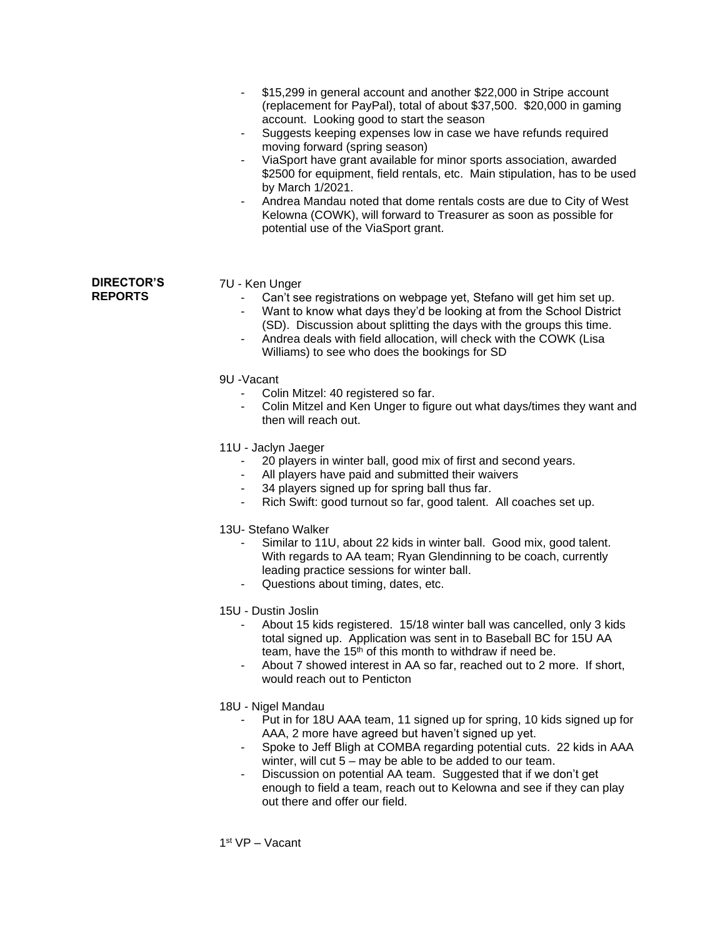- \$15,299 in general account and another \$22,000 in Stripe account (replacement for PayPal), total of about \$37,500. \$20,000 in gaming account. Looking good to start the season
	- Suggests keeping expenses low in case we have refunds required moving forward (spring season)
	- ViaSport have grant available for minor sports association, awarded \$2500 for equipment, field rentals, etc. Main stipulation, has to be used by March 1/2021.
	- Andrea Mandau noted that dome rentals costs are due to City of West Kelowna (COWK), will forward to Treasurer as soon as possible for potential use of the ViaSport grant.

#### **DIRECTOR'S REPORTS**

## 7U - Ken Unger

- Can't see registrations on webpage yet, Stefano will get him set up.
- Want to know what days they'd be looking at from the School District (SD). Discussion about splitting the days with the groups this time.
- Andrea deals with field allocation, will check with the COWK (Lisa Williams) to see who does the bookings for SD
- 9U -Vacant
	- Colin Mitzel: 40 registered so far.
	- Colin Mitzel and Ken Unger to figure out what days/times they want and then will reach out.
- 11U Jaclyn Jaeger
	- 20 players in winter ball, good mix of first and second years.
	- All players have paid and submitted their waivers
	- 34 players signed up for spring ball thus far.
	- Rich Swift: good turnout so far, good talent. All coaches set up.

13U- Stefano Walker

- Similar to 11U, about 22 kids in winter ball. Good mix, good talent. With regards to AA team; Ryan Glendinning to be coach, currently leading practice sessions for winter ball.
- Questions about timing, dates, etc.
- 15U Dustin Joslin
	- About 15 kids registered. 15/18 winter ball was cancelled, only 3 kids total signed up. Application was sent in to Baseball BC for 15U AA team, have the 15<sup>th</sup> of this month to withdraw if need be.
	- About 7 showed interest in AA so far, reached out to 2 more. If short, would reach out to Penticton
- 18U Nigel Mandau
	- Put in for 18U AAA team, 11 signed up for spring, 10 kids signed up for AAA, 2 more have agreed but haven't signed up yet.
	- Spoke to Jeff Bligh at COMBA regarding potential cuts. 22 kids in AAA winter, will cut 5 – may be able to be added to our team.
	- Discussion on potential AA team. Suggested that if we don't get enough to field a team, reach out to Kelowna and see if they can play out there and offer our field.

1 st VP – Vacant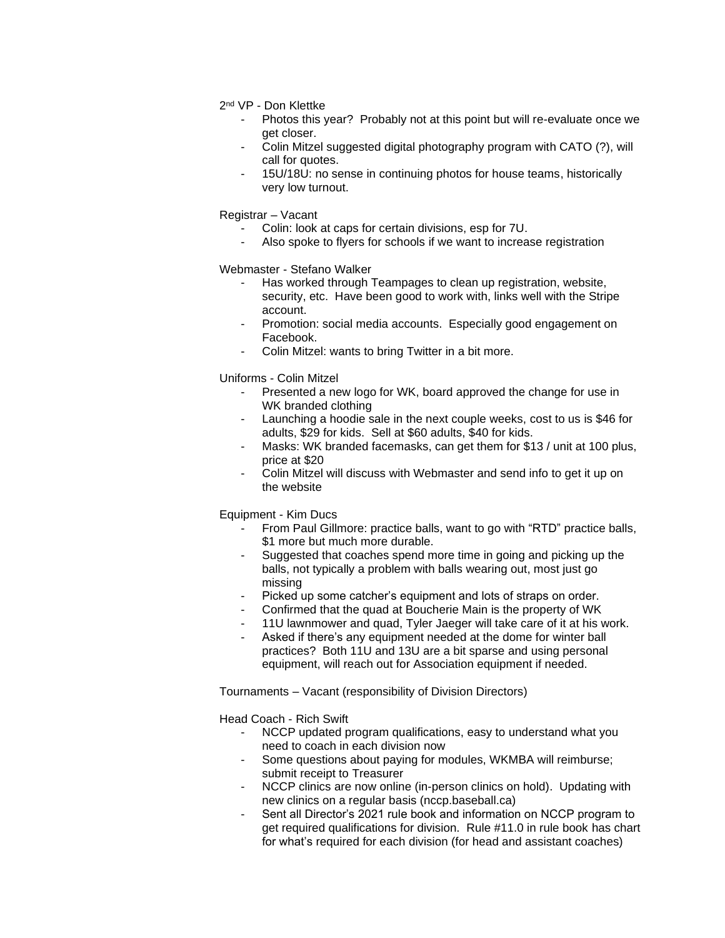- 2<sup>nd</sup> VP Don Klettke
	- Photos this year? Probably not at this point but will re-evaluate once we get closer.
	- Colin Mitzel suggested digital photography program with CATO (?), will call for quotes.
	- 15U/18U: no sense in continuing photos for house teams, historically very low turnout.

Registrar – Vacant

- Colin: look at caps for certain divisions, esp for 7U.
	- Also spoke to flyers for schools if we want to increase registration

Webmaster - Stefano Walker

- Has worked through Teampages to clean up registration, website, security, etc. Have been good to work with, links well with the Stripe account.
- Promotion: social media accounts. Especially good engagement on Facebook.
- Colin Mitzel: wants to bring Twitter in a bit more.

Uniforms - Colin Mitzel

- Presented a new logo for WK, board approved the change for use in WK branded clothing
- Launching a hoodie sale in the next couple weeks, cost to us is \$46 for adults, \$29 for kids. Sell at \$60 adults, \$40 for kids.
- Masks: WK branded facemasks, can get them for \$13 / unit at 100 plus, price at \$20
- Colin Mitzel will discuss with Webmaster and send info to get it up on the website

Equipment - Kim Ducs

- From Paul Gillmore: practice balls, want to go with "RTD" practice balls, \$1 more but much more durable.
- Suggested that coaches spend more time in going and picking up the balls, not typically a problem with balls wearing out, most just go missing
- Picked up some catcher's equipment and lots of straps on order.
- Confirmed that the quad at Boucherie Main is the property of WK
- 11U lawnmower and quad, Tyler Jaeger will take care of it at his work.
- Asked if there's any equipment needed at the dome for winter ball practices? Both 11U and 13U are a bit sparse and using personal equipment, will reach out for Association equipment if needed.

Tournaments – Vacant (responsibility of Division Directors)

Head Coach - Rich Swift

- NCCP updated program qualifications, easy to understand what you need to coach in each division now
- Some questions about paying for modules, WKMBA will reimburse; submit receipt to Treasurer
- NCCP clinics are now online (in-person clinics on hold). Updating with new clinics on a regular basis (nccp.baseball.ca)
- Sent all Director's 2021 rule book and information on NCCP program to get required qualifications for division. Rule #11.0 in rule book has chart for what's required for each division (for head and assistant coaches)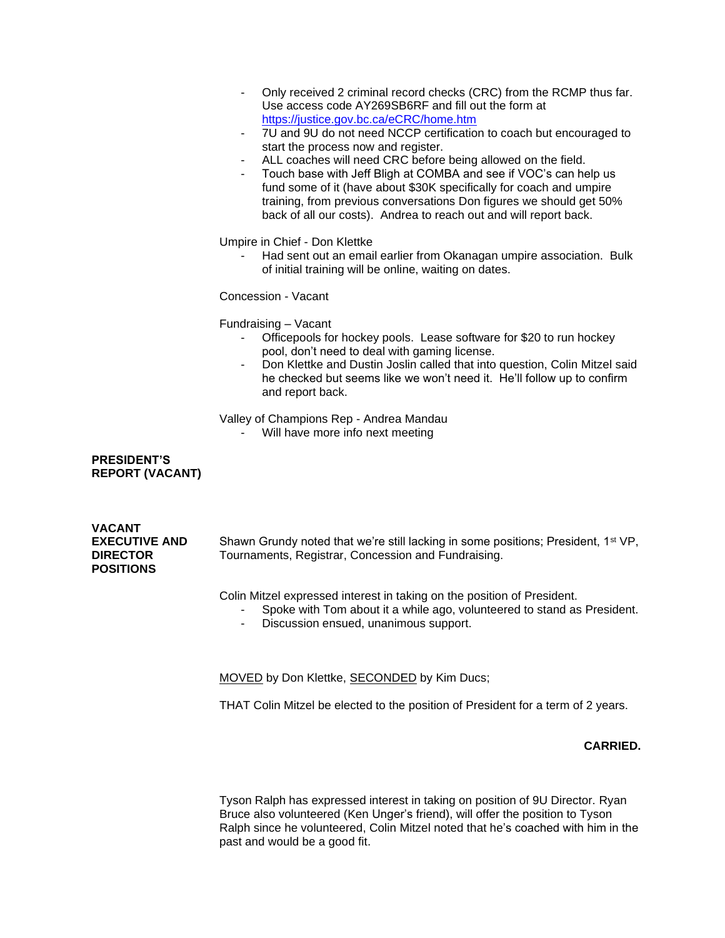- Only received 2 criminal record checks (CRC) from the RCMP thus far. Use access code AY269SB6RF and fill out the form at <https://justice.gov.bc.ca/eCRC/home.htm>
- 7U and 9U do not need NCCP certification to coach but encouraged to start the process now and register.
- ALL coaches will need CRC before being allowed on the field.
- Touch base with Jeff Bligh at COMBA and see if VOC's can help us fund some of it (have about \$30K specifically for coach and umpire training, from previous conversations Don figures we should get 50% back of all our costs). Andrea to reach out and will report back.

Umpire in Chief - Don Klettke

- Had sent out an email earlier from Okanagan umpire association. Bulk of initial training will be online, waiting on dates.

Concession - Vacant

Fundraising – Vacant

- Officepools for hockey pools. Lease software for \$20 to run hockey pool, don't need to deal with gaming license.
- Don Klettke and Dustin Joslin called that into question, Colin Mitzel said he checked but seems like we won't need it. He'll follow up to confirm and report back.

Valley of Champions Rep - Andrea Mandau

Will have more info next meeting

# **PRESIDENT'S REPORT (VACANT)**

| VACANT<br><b>EXECUTIVE AND</b><br><b>DIRECTOR</b><br><b>POSITIONS</b> | Shawn Grundy noted that we're still lacking in some positions; President, 1 <sup>st</sup> VP,<br>Tournaments, Registrar, Concession and Fundraising. |
|-----------------------------------------------------------------------|------------------------------------------------------------------------------------------------------------------------------------------------------|
|-----------------------------------------------------------------------|------------------------------------------------------------------------------------------------------------------------------------------------------|

Colin Mitzel expressed interest in taking on the position of President.

- Spoke with Tom about it a while ago, volunteered to stand as President.
- Discussion ensued, unanimous support.

MOVED by Don Klettke, SECONDED by Kim Ducs;

THAT Colin Mitzel be elected to the position of President for a term of 2 years.

## **CARRIED.**

Tyson Ralph has expressed interest in taking on position of 9U Director. Ryan Bruce also volunteered (Ken Unger's friend), will offer the position to Tyson Ralph since he volunteered, Colin Mitzel noted that he's coached with him in the past and would be a good fit.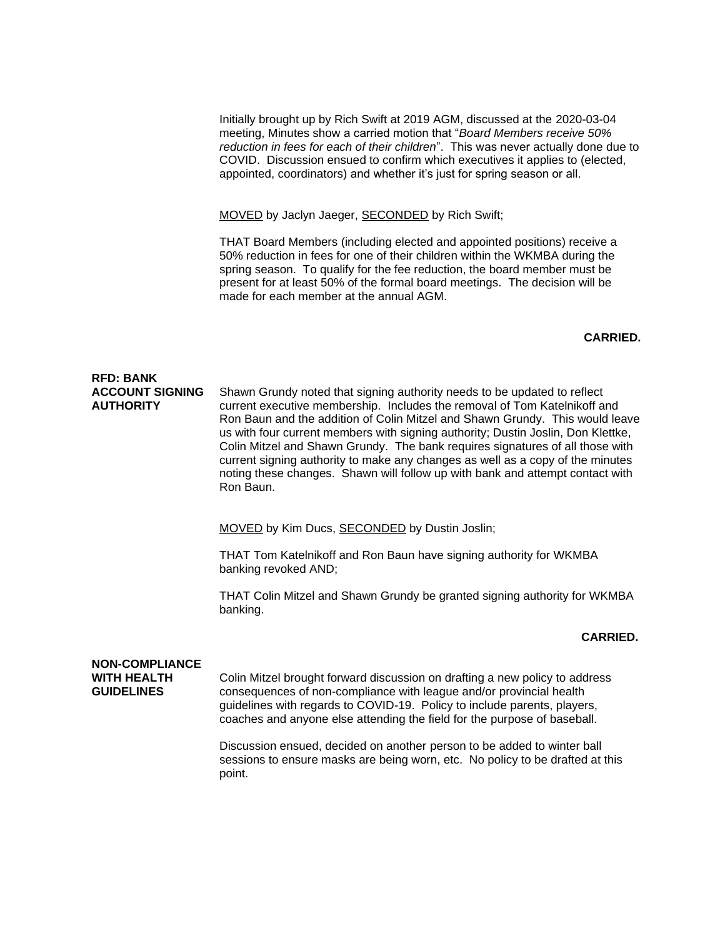Initially brought up by Rich Swift at 2019 AGM, discussed at the 2020-03-04 meeting, Minutes show a carried motion that "*Board Members receive 50% reduction in fees for each of their children*". This was never actually done due to COVID. Discussion ensued to confirm which executives it applies to (elected, appointed, coordinators) and whether it's just for spring season or all.

MOVED by Jaclyn Jaeger, SECONDED by Rich Swift;

THAT Board Members (including elected and appointed positions) receive a 50% reduction in fees for one of their children within the WKMBA during the spring season. To qualify for the fee reduction, the board member must be present for at least 50% of the formal board meetings. The decision will be made for each member at the annual AGM.

### **CARRIED.**

#### **RFD: BANK ACCOUNT SIGNING AUTHORITY**  Shawn Grundy noted that signing authority needs to be updated to reflect current executive membership. Includes the removal of Tom Katelnikoff and Ron Baun and the addition of Colin Mitzel and Shawn Grundy. This would leave us with four current members with signing authority; Dustin Joslin, Don Klettke, Colin Mitzel and Shawn Grundy. The bank requires signatures of all those with current signing authority to make any changes as well as a copy of the minutes noting these changes. Shawn will follow up with bank and attempt contact with Ron Baun.

MOVED by Kim Ducs, SECONDED by Dustin Joslin;

THAT Tom Katelnikoff and Ron Baun have signing authority for WKMBA banking revoked AND;

THAT Colin Mitzel and Shawn Grundy be granted signing authority for WKMBA banking.

#### **CARRIED.**

### **NON-COMPLIANCE WITH HEALTH GUIDELINES**

Colin Mitzel brought forward discussion on drafting a new policy to address consequences of non-compliance with league and/or provincial health guidelines with regards to COVID-19. Policy to include parents, players, coaches and anyone else attending the field for the purpose of baseball.

Discussion ensued, decided on another person to be added to winter ball sessions to ensure masks are being worn, etc. No policy to be drafted at this point.